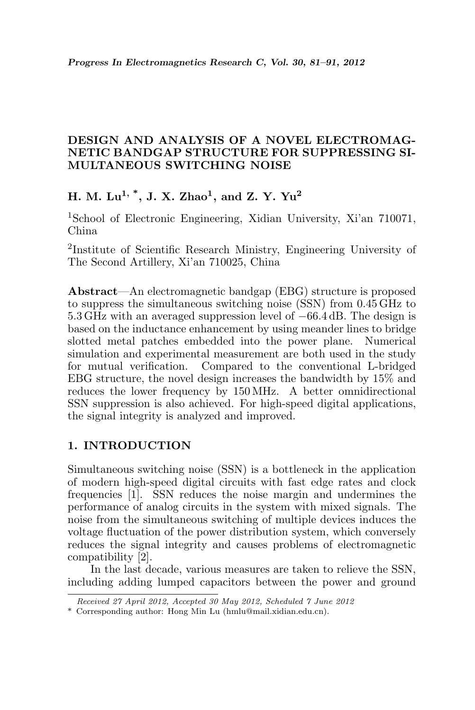## DESIGN AND ANALYSIS OF A NOVEL ELECTROMAG-NETIC BANDGAP STRUCTURE FOR SUPPRESSING SI-MULTANEOUS SWITCHING NOISE

# H. M. Lu<sup>1, \*</sup>, J. X. Zhao<sup>1</sup>, and Z. Y. Yu<sup>2</sup>

<sup>1</sup>School of Electronic Engineering, Xidian University, Xi'an 710071, China

2 Institute of Scientific Research Ministry, Engineering University of The Second Artillery, Xi'an 710025, China

Abstract—An electromagnetic bandgap (EBG) structure is proposed to suppress the simultaneous switching noise (SSN) from 0.45 GHz to 5.3 GHz with an averaged suppression level of −66.4 dB. The design is based on the inductance enhancement by using meander lines to bridge slotted metal patches embedded into the power plane. Numerical simulation and experimental measurement are both used in the study for mutual verification. Compared to the conventional L-bridged EBG structure, the novel design increases the bandwidth by 15% and reduces the lower frequency by 150 MHz. A better omnidirectional SSN suppression is also achieved. For high-speed digital applications, the signal integrity is analyzed and improved.

# 1. INTRODUCTION

Simultaneous switching noise (SSN) is a bottleneck in the application of modern high-speed digital circuits with fast edge rates and clock frequencies [1]. SSN reduces the noise margin and undermines the performance of analog circuits in the system with mixed signals. The noise from the simultaneous switching of multiple devices induces the voltage fluctuation of the power distribution system, which conversely reduces the signal integrity and causes problems of electromagnetic compatibility [2].

In the last decade, various measures are taken to relieve the SSN, including adding lumped capacitors between the power and ground

Received 27 April 2012, Accepted 30 May 2012, Scheduled 7 June 2012

<sup>\*</sup> Corresponding author: Hong Min Lu (hmlu@mail.xidian.edu.cn).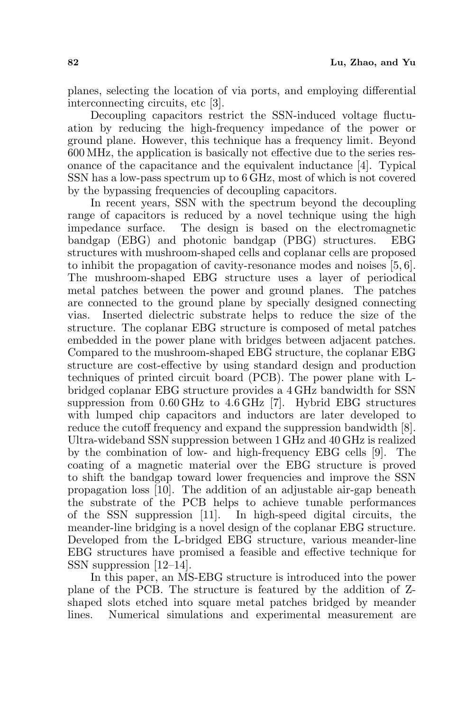planes, selecting the location of via ports, and employing differential interconnecting circuits, etc [3].

Decoupling capacitors restrict the SSN-induced voltage fluctuation by reducing the high-frequency impedance of the power or ground plane. However, this technique has a frequency limit. Beyond 600 MHz, the application is basically not effective due to the series resonance of the capacitance and the equivalent inductance [4]. Typical SSN has a low-pass spectrum up to 6 GHz, most of which is not covered by the bypassing frequencies of decoupling capacitors.

In recent years, SSN with the spectrum beyond the decoupling range of capacitors is reduced by a novel technique using the high impedance surface. The design is based on the electromagnetic bandgap (EBG) and photonic bandgap (PBG) structures. EBG structures with mushroom-shaped cells and coplanar cells are proposed to inhibit the propagation of cavity-resonance modes and noises [5, 6]. The mushroom-shaped EBG structure uses a layer of periodical metal patches between the power and ground planes. The patches are connected to the ground plane by specially designed connecting vias. Inserted dielectric substrate helps to reduce the size of the structure. The coplanar EBG structure is composed of metal patches embedded in the power plane with bridges between adjacent patches. Compared to the mushroom-shaped EBG structure, the coplanar EBG structure are cost-effective by using standard design and production techniques of printed circuit board (PCB). The power plane with Lbridged coplanar EBG structure provides a 4 GHz bandwidth for SSN suppression from 0.60 GHz to 4.6 GHz [7]. Hybrid EBG structures with lumped chip capacitors and inductors are later developed to reduce the cutoff frequency and expand the suppression bandwidth [8]. Ultra-wideband SSN suppression between 1 GHz and 40 GHz is realized by the combination of low- and high-frequency EBG cells [9]. The coating of a magnetic material over the EBG structure is proved to shift the bandgap toward lower frequencies and improve the SSN propagation loss [10]. The addition of an adjustable air-gap beneath the substrate of the PCB helps to achieve tunable performances of the SSN suppression [11]. In high-speed digital circuits, the meander-line bridging is a novel design of the coplanar EBG structure. Developed from the L-bridged EBG structure, various meander-line EBG structures have promised a feasible and effective technique for SSN suppression [12–14].

In this paper, an MS-EBG structure is introduced into the power plane of the PCB. The structure is featured by the addition of Zshaped slots etched into square metal patches bridged by meander lines. Numerical simulations and experimental measurement are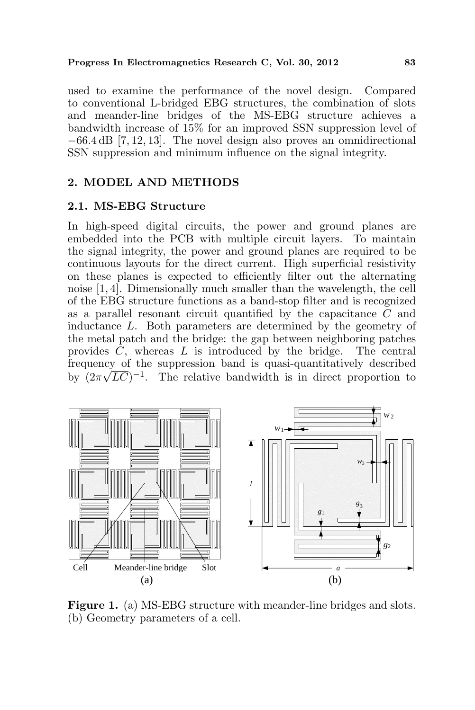#### Progress In Electromagnetics Research C, Vol. 30, 2012 83

used to examine the performance of the novel design. Compared to conventional L-bridged EBG structures, the combination of slots and meander-line bridges of the MS-EBG structure achieves a bandwidth increase of 15% for an improved SSN suppression level of −66.4 dB [7, 12, 13]. The novel design also proves an omnidirectional SSN suppression and minimum influence on the signal integrity.

## 2. MODEL AND METHODS

## 2.1. MS-EBG Structure

In high-speed digital circuits, the power and ground planes are embedded into the PCB with multiple circuit layers. To maintain the signal integrity, the power and ground planes are required to be continuous layouts for the direct current. High superficial resistivity on these planes is expected to efficiently filter out the alternating noise [1, 4]. Dimensionally much smaller than the wavelength, the cell of the EBG structure functions as a band-stop filter and is recognized as a parallel resonant circuit quantified by the capacitance C and inductance L. Both parameters are determined by the geometry of the metal patch and the bridge: the gap between neighboring patches provides  $C$ , whereas  $L$  is introduced by the bridge. The central frequency of the suppression band is quasi-quantitatively described by  $(2\pi\sqrt{LC})^{-1}$ . The relative bandwidth is in direct proportion to



Figure 1. (a) MS-EBG structure with meander-line bridges and slots. (b) Geometry parameters of a cell.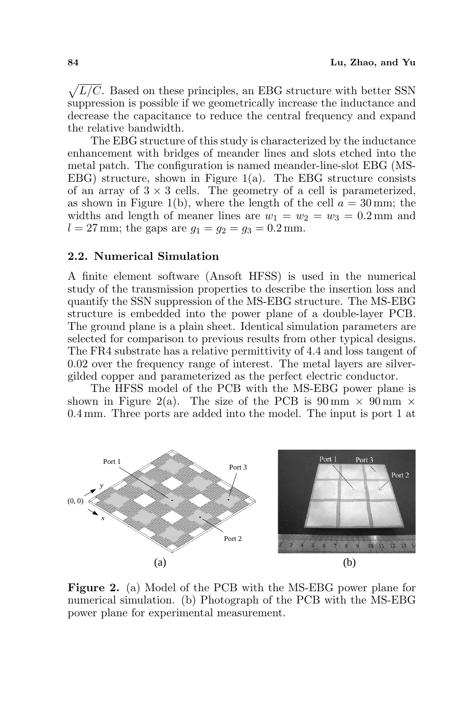$\mathcal{L}$  $L/C$ . Based on these principles, an EBG structure with better SSN suppression is possible if we geometrically increase the inductance and decrease the capacitance to reduce the central frequency and expand the relative bandwidth.

The EBG structure of this study is characterized by the inductance enhancement with bridges of meander lines and slots etched into the metal patch. The configuration is named meander-line-slot EBG (MS-EBG) structure, shown in Figure 1(a). The EBG structure consists of an array of  $3 \times 3$  cells. The geometry of a cell is parameterized, as shown in Figure 1(b), where the length of the cell  $a = 30$  mm; the widths and length of meaner lines are  $w_1 = w_2 = w_3 = 0.2$  mm and  $l = 27$  mm; the gaps are  $g_1 = g_2 = g_3 = 0.2$  mm.

### 2.2. Numerical Simulation

A finite element software (Ansoft HFSS) is used in the numerical study of the transmission properties to describe the insertion loss and quantify the SSN suppression of the MS-EBG structure. The MS-EBG structure is embedded into the power plane of a double-layer PCB. The ground plane is a plain sheet. Identical simulation parameters are selected for comparison to previous results from other typical designs. The FR4 substrate has a relative permittivity of 4.4 and loss tangent of 0.02 over the frequency range of interest. The metal layers are silvergilded copper and parameterized as the perfect electric conductor.

The HFSS model of the PCB with the MS-EBG power plane is shown in Figure 2(a). The size of the PCB is  $90 \text{ mm} \times 90 \text{ mm} \times$ 0.4 mm. Three ports are added into the model. The input is port 1 at



Figure 2. (a) Model of the PCB with the MS-EBG power plane for numerical simulation. (b) Photograph of the PCB with the MS-EBG power plane for experimental measurement.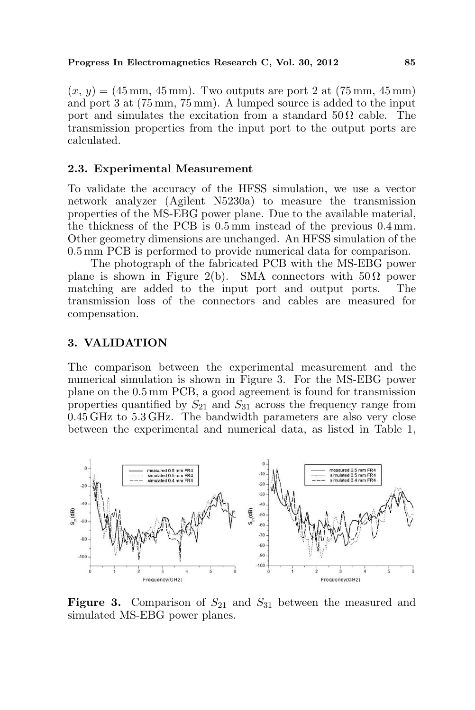#### Progress In Electromagnetics Research C, Vol. 30, 2012 85

 $(x, y) = (45 \text{ mm}, 45 \text{ mm})$ . Two outputs are port 2 at  $(75 \text{ mm}, 45 \text{ mm})$ and port 3 at (75 mm, 75 mm). A lumped source is added to the input port and simulates the excitation from a standard  $50 \Omega$  cable. The transmission properties from the input port to the output ports are calculated.

#### 2.3. Experimental Measurement

To validate the accuracy of the HFSS simulation, we use a vector network analyzer (Agilent N5230a) to measure the transmission properties of the MS-EBG power plane. Due to the available material, the thickness of the PCB is 0.5 mm instead of the previous 0.4 mm. Other geometry dimensions are unchanged. An HFSS simulation of the 0.5 mm PCB is performed to provide numerical data for comparison.

The photograph of the fabricated PCB with the MS-EBG power plane is shown in Figure 2(b). SMA connectors with  $50 \Omega$  power matching are added to the input port and output ports. The transmission loss of the connectors and cables are measured for compensation.

#### 3. VALIDATION

The comparison between the experimental measurement and the numerical simulation is shown in Figure 3. For the MS-EBG power plane on the 0.5 mm PCB, a good agreement is found for transmission properties quantified by  $S_{21}$  and  $S_{31}$  across the frequency range from 0.45 GHz to 5.3 GHz. The bandwidth parameters are also very close between the experimental and numerical data, as listed in Table 1,



**Figure 3.** Comparison of  $S_{21}$  and  $S_{31}$  between the measured and simulated MS-EBG power planes.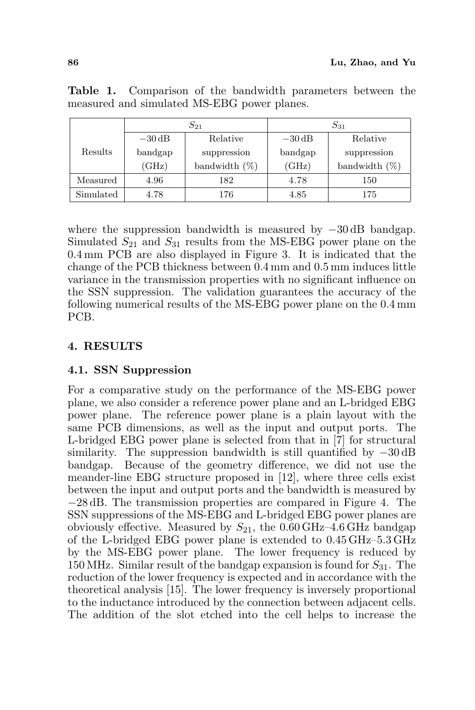|           | $S_{21}$           |                  | $S_{31}$           |                  |
|-----------|--------------------|------------------|--------------------|------------------|
|           | $-30\,\mathrm{dB}$ | Relative         | $-30\,\mathrm{dB}$ | Relative         |
| Results   | bandgap            | suppression      | bandgap            | suppression      |
|           | (GHz)              | bandwidth $(\%)$ | (GHz)              | bandwidth $(\%)$ |
| Measured  | 4.96               | 182              | 4.78               | 150              |
| Simulated | 4.78               | 176              | 4.85               | 175              |

Table 1. Comparison of the bandwidth parameters between the measured and simulated MS-EBG power planes.

where the suppression bandwidth is measured by −30 dB bandgap. Simulated  $S_{21}$  and  $S_{31}$  results from the MS-EBG power plane on the 0.4 mm PCB are also displayed in Figure 3. It is indicated that the change of the PCB thickness between 0.4 mm and 0.5 mm induces little variance in the transmission properties with no significant influence on the SSN suppression. The validation guarantees the accuracy of the following numerical results of the MS-EBG power plane on the 0.4 mm PCB.

# 4. RESULTS

# 4.1. SSN Suppression

For a comparative study on the performance of the MS-EBG power plane, we also consider a reference power plane and an L-bridged EBG power plane. The reference power plane is a plain layout with the same PCB dimensions, as well as the input and output ports. The L-bridged EBG power plane is selected from that in [7] for structural similarity. The suppression bandwidth is still quantified by −30 dB bandgap. Because of the geometry difference, we did not use the meander-line EBG structure proposed in [12], where three cells exist between the input and output ports and the bandwidth is measured by −28 dB. The transmission properties are compared in Figure 4. The SSN suppressions of the MS-EBG and L-bridged EBG power planes are obviously effective. Measured by  $S_{21}$ , the 0.60 GHz–4.6 GHz bandgap of the L-bridged EBG power plane is extended to 0.45 GHz–5.3 GHz by the MS-EBG power plane. The lower frequency is reduced by 150 MHz. Similar result of the bandgap expansion is found for  $S_{31}$ . The reduction of the lower frequency is expected and in accordance with the theoretical analysis [15]. The lower frequency is inversely proportional to the inductance introduced by the connection between adjacent cells. The addition of the slot etched into the cell helps to increase the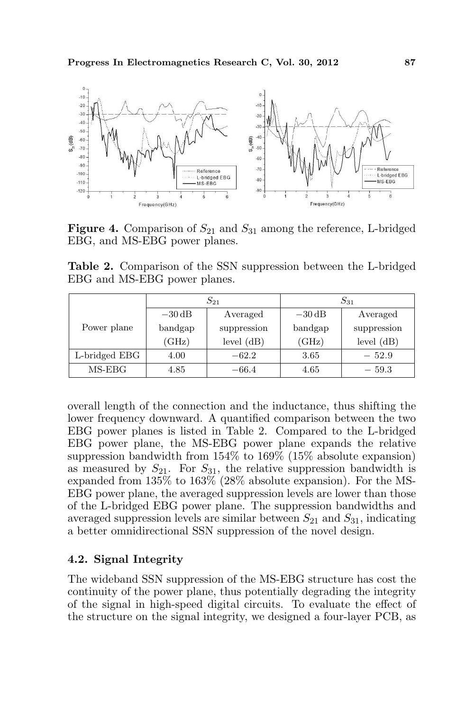

**Figure 4.** Comparison of  $S_{21}$  and  $S_{31}$  among the reference, L-bridged EBG, and MS-EBG power planes.

Table 2. Comparison of the SSN suppression between the L-bridged EBG and MS-EBG power planes.

|               |                    | $S_{21}$     | $S_{31}$           |             |
|---------------|--------------------|--------------|--------------------|-------------|
|               | $-30\,\mathrm{dB}$ | Averaged     | $-30\,\mathrm{dB}$ | Averaged    |
| Power plane   | bandgap            | suppression  | bandgap            | suppression |
|               | (GHz)              | level $(dB)$ | (GHz)              | level (dB)  |
| L-bridged EBG | 4.00               | $-62.2$      | 3.65               | $-52.9$     |
| $MS-EBG$      | 4.85               | $-66.4$      | 4.65               | $-59.3$     |

overall length of the connection and the inductance, thus shifting the lower frequency downward. A quantified comparison between the two EBG power planes is listed in Table 2. Compared to the L-bridged EBG power plane, the MS-EBG power plane expands the relative suppression bandwidth from 154% to 169% (15% absolute expansion) as measured by  $S_{21}$ . For  $S_{31}$ , the relative suppression bandwidth is expanded from 135% to 163% (28% absolute expansion). For the MS-EBG power plane, the averaged suppression levels are lower than those of the L-bridged EBG power plane. The suppression bandwidths and averaged suppression levels are similar between  $S_{21}$  and  $S_{31}$ , indicating a better omnidirectional SSN suppression of the novel design.

## 4.2. Signal Integrity

The wideband SSN suppression of the MS-EBG structure has cost the continuity of the power plane, thus potentially degrading the integrity of the signal in high-speed digital circuits. To evaluate the effect of the structure on the signal integrity, we designed a four-layer PCB, as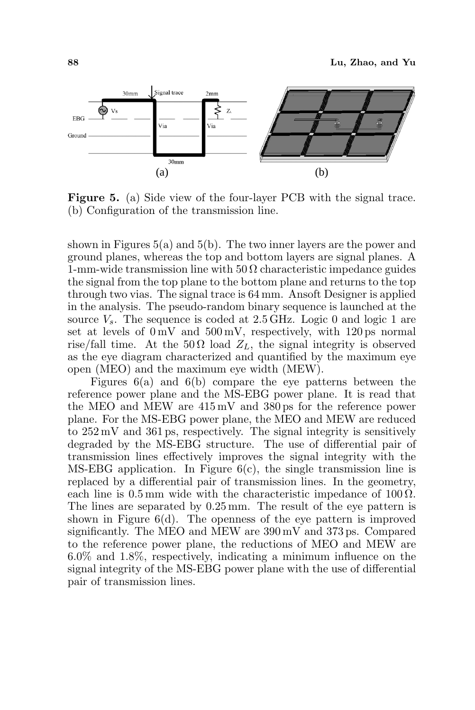

Figure 5. (a) Side view of the four-layer PCB with the signal trace. (b) Configuration of the transmission line.

shown in Figures  $5(a)$  and  $5(b)$ . The two inner layers are the power and ground planes, whereas the top and bottom layers are signal planes. A 1-mm-wide transmission line with  $50 \Omega$  characteristic impedance guides the signal from the top plane to the bottom plane and returns to the top through two vias. The signal trace is 64 mm. Ansoft Designer is applied in the analysis. The pseudo-random binary sequence is launched at the source  $V_s$ . The sequence is coded at 2.5 GHz. Logic 0 and logic 1 are set at levels of  $0 \text{ mV}$  and  $500 \text{ mV}$ , respectively, with  $120 \text{ ps}$  normal rise/fall time. At the  $50\Omega$  load  $Z_L$ , the signal integrity is observed as the eye diagram characterized and quantified by the maximum eye open (MEO) and the maximum eye width (MEW).

Figures  $6(a)$  and  $6(b)$  compare the eye patterns between the reference power plane and the MS-EBG power plane. It is read that the MEO and MEW are 415 mV and 380 ps for the reference power plane. For the MS-EBG power plane, the MEO and MEW are reduced to 252 mV and 361 ps, respectively. The signal integrity is sensitively degraded by the MS-EBG structure. The use of differential pair of transmission lines effectively improves the signal integrity with the MS-EBG application. In Figure  $6(c)$ , the single transmission line is replaced by a differential pair of transmission lines. In the geometry, each line is  $0.5 \,\mathrm{mm}$  wide with the characteristic impedance of  $100 \,\Omega$ . The lines are separated by 0.25 mm. The result of the eye pattern is shown in Figure  $6(d)$ . The openness of the eye pattern is improved significantly. The MEO and MEW are 390 mV and 373 ps. Compared to the reference power plane, the reductions of MEO and MEW are 6.0% and 1.8%, respectively, indicating a minimum influence on the signal integrity of the MS-EBG power plane with the use of differential pair of transmission lines.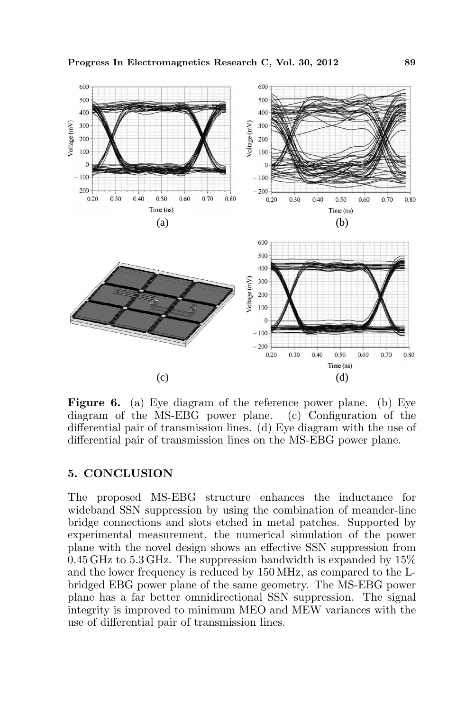

Figure 6. (a) Eye diagram of the reference power plane. (b) Eye diagram of the MS-EBG power plane. (c) Configuration of the differential pair of transmission lines. (d) Eye diagram with the use of differential pair of transmission lines on the MS-EBG power plane.

## 5. CONCLUSION

The proposed MS-EBG structure enhances the inductance for wideband SSN suppression by using the combination of meander-line bridge connections and slots etched in metal patches. Supported by experimental measurement, the numerical simulation of the power plane with the novel design shows an effective SSN suppression from  $0.45$  GHz to  $5.3$  GHz. The suppression bandwidth is expanded by  $15\%$ and the lower frequency is reduced by 150 MHz, as compared to the Lbridged EBG power plane of the same geometry. The MS-EBG power plane has a far better omnidirectional SSN suppression. The signal integrity is improved to minimum MEO and MEW variances with the use of differential pair of transmission lines.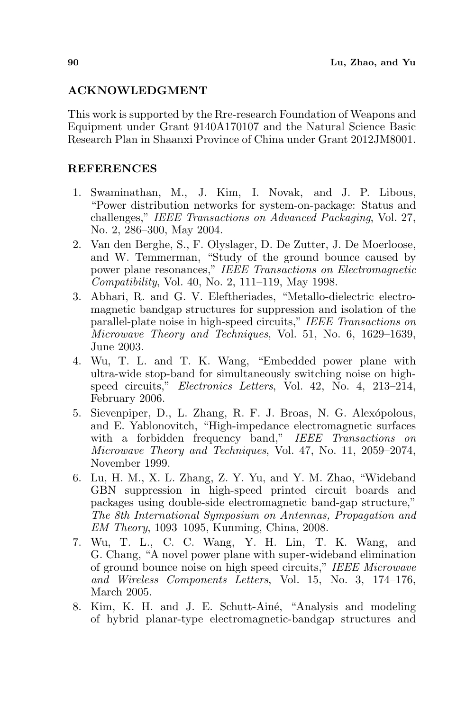## ACKNOWLEDGMENT

This work is supported by the Rre-research Foundation of Weapons and Equipment under Grant 9140A170107 and the Natural Science Basic Research Plan in Shaanxi Province of China under Grant 2012JM8001.

## **REFERENCES**

- 1. Swaminathan, M., J. Kim, I. Novak, and J. P. Libous, "Power distribution networks for system-on-package: Status and challenges," IEEE Transactions on Advanced Packaging, Vol. 27, No. 2, 286–300, May 2004.
- 2. Van den Berghe, S., F. Olyslager, D. De Zutter, J. De Moerloose, and W. Temmerman, "Study of the ground bounce caused by power plane resonances," IEEE Transactions on Electromagnetic Compatibility, Vol. 40, No. 2, 111–119, May 1998.
- 3. Abhari, R. and G. V. Eleftheriades, "Metallo-dielectric electromagnetic bandgap structures for suppression and isolation of the parallel-plate noise in high-speed circuits," IEEE Transactions on Microwave Theory and Techniques, Vol. 51, No. 6, 1629–1639, June 2003.
- 4. Wu, T. L. and T. K. Wang, "Embedded power plane with ultra-wide stop-band for simultaneously switching noise on highspeed circuits," Electronics Letters, Vol. 42, No. 4, 213–214, February 2006.
- 5. Sievenpiper, D., L. Zhang, R. F. J. Broas, N. G. Alexópolous, and E. Yablonovitch, "High-impedance electromagnetic surfaces with a forbidden frequency band," IEEE Transactions on Microwave Theory and Techniques, Vol. 47, No. 11, 2059–2074, November 1999.
- 6. Lu, H. M., X. L. Zhang, Z. Y. Yu, and Y. M. Zhao, "Wideband GBN suppression in high-speed printed circuit boards and packages using double-side electromagnetic band-gap structure," The 8th International Symposium on Antennas, Propagation and EM Theory, 1093–1095, Kunming, China, 2008.
- 7. Wu, T. L., C. C. Wang, Y. H. Lin, T. K. Wang, and G. Chang, "A novel power plane with super-wideband elimination of ground bounce noise on high speed circuits," IEEE Microwave and Wireless Components Letters, Vol. 15, No. 3, 174–176, March 2005.
- 8. Kim, K. H. and J. E. Schutt-Ainé, "Analysis and modeling of hybrid planar-type electromagnetic-bandgap structures and